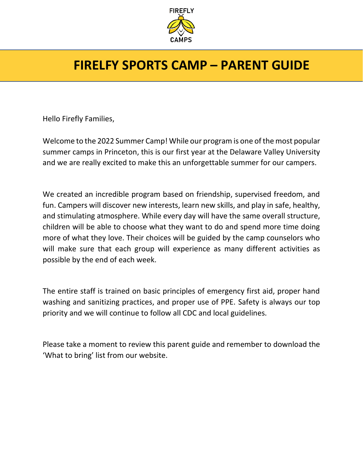

### **FIRELFY SPORTS CAMP – PARENT GUIDE**

Hello Firefly Families,

Welcome to the 2022 Summer Camp! While our program is one of the most popular summer camps in Princeton, this is our first year at the Delaware Valley University and we are really excited to make this an unforgettable summer for our campers.

We created an incredible program based on friendship, supervised freedom, and fun. Campers will discover new interests, learn new skills, and play in safe, healthy, and stimulating atmosphere. While every day will have the same overall structure, children will be able to choose what they want to do and spend more time doing more of what they love. Their choices will be guided by the camp counselors who will make sure that each group will experience as many different activities as possible by the end of each week.

The entire staff is trained on basic principles of emergency first aid, proper hand washing and sanitizing practices, and proper use of PPE. Safety is always our top priority and we will continue to follow all CDC and local guidelines.

Please take a moment to review this parent guide and remember to download the 'What to bring' list from our website.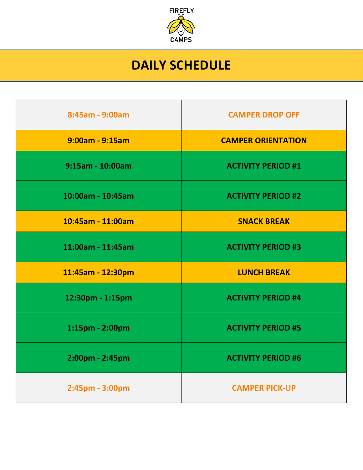

## **DAILY SCHEDULE**

| 8:45am - 9:00am       | <b>CAMPER DROP OFF</b>    |
|-----------------------|---------------------------|
| $9:00$ am - $9:15$ am | <b>CAMPER ORIENTATION</b> |
| 9:15am - 10:00am      | <b>ACTIVITY PERIOD #1</b> |
| 10:00am - 10:45am     | <b>ACTIVITY PERIOD #2</b> |
| 10:45am - 11:00am     | <b>SNACK BREAK</b>        |
| 11:00am - 11:45am     | <b>ACTIVITY PERIOD #3</b> |
| 11:45am - 12:30pm     | <b>LUNCH BREAK</b>        |
| 12:30pm - 1:15pm      | <b>ACTIVITY PERIOD #4</b> |
| 1:15pm - 2:00pm       | <b>ACTIVITY PERIOD #5</b> |
| 2:00pm - 2:45pm       | <b>ACTIVITY PERIOD #6</b> |
| 2:45pm - 3:00pm       | <b>CAMPER PICK-UP</b>     |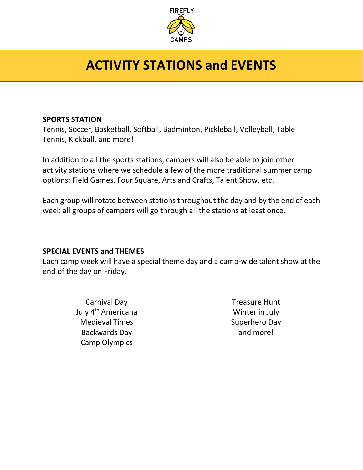

# **ACTIVITY STATIONS and EVENTS**

#### **SPORTS STATION**

Tennis, Soccer, Basketball, Softball, Badminton, Pickleball, Volleyball, Table Tennis, Kickball, and more!

In addition to all the sports stations, campers will also be able to join other activity stations where we schedule a few of the more traditional summer camp options: Field Games, Four Square, Arts and Crafts, Talent Show, etc.

Each group will rotate between stations throughout the day and by the end of each week all groups of campers will go through all the stations at least once.

#### **SPECIAL EVENTS and THEMES**

Each camp week will have a special theme day and a camp-wide talent show at the end of the day on Friday.

> Carnival Day July 4th Americana Medieval Times Backwards Day Camp Olympics

Treasure Hunt Winter in July Superhero Day and more!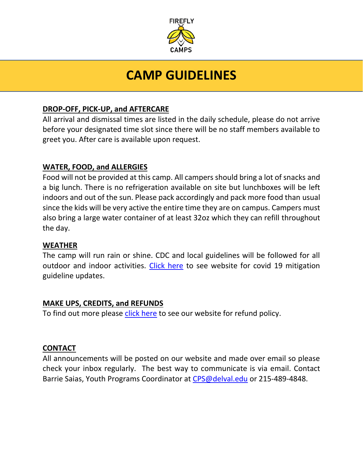

### **CAMP GUIDELINES**

#### **DROP-OFF, PICK-UP, and AFTERCARE**

All arrival and dismissal times are listed in the daily schedule, please do not arrive before your designated time slot since there will be no staff members available to greet you. After care is available upon request.

#### **WATER, FOOD, and ALLERGIES**

Food will not be provided at this camp. All campers should bring a lot of snacks and a big lunch. There is no refrigeration available on site but lunchboxes will be left indoors and out of the sun. Please pack accordingly and pack more food than usual since the kids will be very active the entire time they are on campus. Campers must also bring a large water container of at least 32oz which they can refill throughout the day.

#### **WEATHER**

The camp will run rain or shine. CDC and local guidelines will be followed for all outdoor and indoor activities. [Click here](https://delval.edu/programs/youth-summer-programs/kids-u-ages-5-13-summer) to see website for covid 19 mitigation guideline updates.

#### **MAKE UPS, CREDITS, and REFUNDS**

To find out more please [click here](https://delval.edu/programs/youth-summer-programs/kids-u-ages-5-13-summer) to see our website for refund policy.

#### **CONTACT**

All announcements will be posted on our website and made over email so please check your inbox regularly. The best way to communicate is via email. Contact Barrie Saias, Youth Programs Coordinator at [CPS@delval.edu](mailto:CPS@delval.edu) or 215-489-4848.